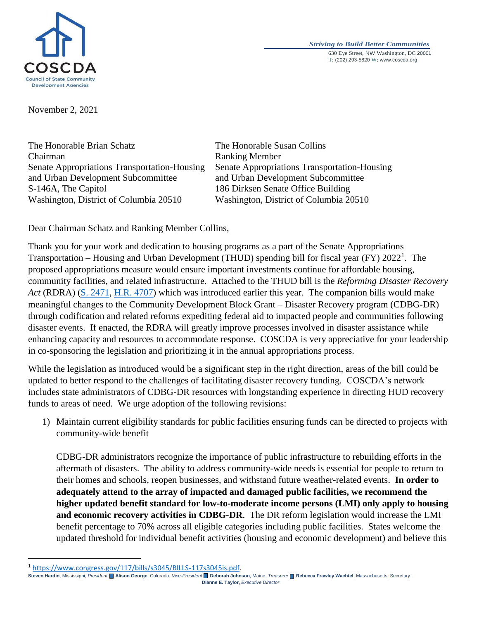

*Striving to Build Better Communities* 630 Eye Street, NW Washington, DC 20001 T: (202) 293-5820 W: www.coscda.org

November 2, 2021

The Honorable Brian Schatz Chairman Senate Appropriations Transportation-Housing and Urban Development Subcommittee S-146A, The Capitol Washington, District of Columbia 20510

The Honorable Susan Collins Ranking Member Senate Appropriations Transportation-Housing and Urban Development Subcommittee 186 Dirksen Senate Office Building Washington, District of Columbia 20510

Dear Chairman Schatz and Ranking Member Collins,

Thank you for your work and dedication to housing programs as a part of the Senate Appropriations Transportation – Housing and Urban Development (THUD) spending bill for fiscal year (FY) 2022<sup>1</sup>. The proposed appropriations measure would ensure important investments continue for affordable housing, community facilities, and related infrastructure. Attached to the THUD bill is the *Reforming Disaster Recovery Act* (RDRA) (S. [2471,](https://www.congress.gov/117/bills/s2471/BILLS-117s2471is.pdf) [H.R. 4707\)](https://www.congress.gov/117/bills/hr4707/BILLS-117hr4707ih.pdf) which was introduced earlier this year. The companion bills would make meaningful changes to the Community Development Block Grant – Disaster Recovery program (CDBG-DR) through codification and related reforms expediting federal aid to impacted people and communities following disaster events. If enacted, the RDRA will greatly improve processes involved in disaster assistance while enhancing capacity and resources to accommodate response. COSCDA is very appreciative for your leadership in co-sponsoring the legislation and prioritizing it in the annual appropriations process.

While the legislation as introduced would be a significant step in the right direction, areas of the bill could be updated to better respond to the challenges of facilitating disaster recovery funding. COSCDA's network includes state administrators of CDBG-DR resources with longstanding experience in directing HUD recovery funds to areas of need. We urge adoption of the following revisions:

1) Maintain current eligibility standards for public facilities ensuring funds can be directed to projects with community-wide benefit

CDBG-DR administrators recognize the importance of public infrastructure to rebuilding efforts in the aftermath of disasters. The ability to address community-wide needs is essential for people to return to their homes and schools, reopen businesses, and withstand future weather-related events. **In order to adequately attend to the array of impacted and damaged public facilities, we recommend the higher updated benefit standard for low-to-moderate income persons (LMI) only apply to housing and economic recovery activities in CDBG-DR**. The DR reform legislation would increase the LMI benefit percentage to 70% across all eligible categories including public facilities. States welcome the updated threshold for individual benefit activities (housing and economic development) and believe this

 $\overline{a}$ 

<sup>1</sup> [https://www.congress.gov/117/bills/s3045/BILLS-117s3045is.pdf.](https://www.congress.gov/117/bills/s3045/BILLS-117s3045is.pdf) 

**Steven Hardin**, Mississippi*, President* **Alison George**, Colorado, *Vice-President* **Deborah Johnson**, Maine, *Treasurer* **Rebecca Frawley Wachtel**, Massachusetts, Secretary **Dianne E. Taylor,** *Executive Director*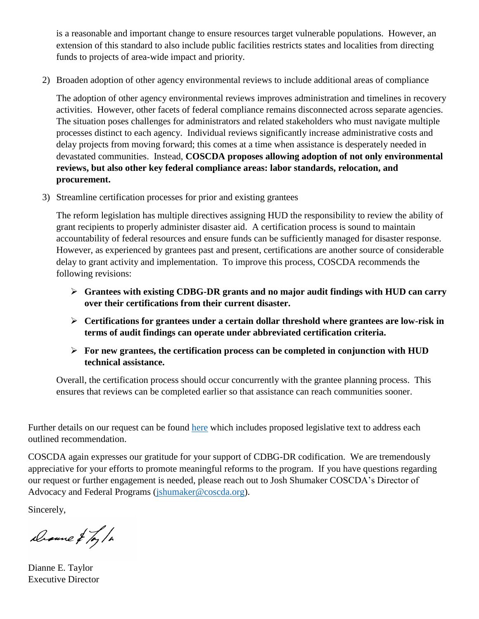is a reasonable and important change to ensure resources target vulnerable populations. However, an extension of this standard to also include public facilities restricts states and localities from directing funds to projects of area-wide impact and priority.

2) Broaden adoption of other agency environmental reviews to include additional areas of compliance

The adoption of other agency environmental reviews improves administration and timelines in recovery activities. However, other facets of federal compliance remains disconnected across separate agencies. The situation poses challenges for administrators and related stakeholders who must navigate multiple processes distinct to each agency. Individual reviews significantly increase administrative costs and delay projects from moving forward; this comes at a time when assistance is desperately needed in devastated communities. Instead, **COSCDA proposes allowing adoption of not only environmental reviews, but also other key federal compliance areas: labor standards, relocation, and procurement.** 

3) Streamline certification processes for prior and existing grantees

The reform legislation has multiple directives assigning HUD the responsibility to review the ability of grant recipients to properly administer disaster aid. A certification process is sound to maintain accountability of federal resources and ensure funds can be sufficiently managed for disaster response. However, as experienced by grantees past and present, certifications are another source of considerable delay to grant activity and implementation. To improve this process, COSCDA recommends the following revisions:

- **Grantees with existing CDBG-DR grants and no major audit findings with HUD can carry over their certifications from their current disaster.**
- **Certifications for grantees under a certain dollar threshold where grantees are low-risk in terms of audit findings can operate under abbreviated certification criteria.**
- **For new grantees, the certification process can be completed in conjunction with HUD technical assistance.**

Overall, the certification process should occur concurrently with the grantee planning process. This ensures that reviews can be completed earlier so that assistance can reach communities sooner.

Further details on our request can be found [here](https://coscda.org/wp-content/uploads/2021/10/COSCDA-Recommendations-Reforming-Disaster-Recovery-Act-FINALOct152021.pdf) which includes proposed legislative text to address each outlined recommendation.

COSCDA again expresses our gratitude for your support of CDBG-DR codification. We are tremendously appreciative for your efforts to promote meaningful reforms to the program. If you have questions regarding our request or further engagement is needed, please reach out to Josh Shumaker COSCDA's Director of Advocacy and Federal Programs [\(jshumaker@coscda.org\)](mailto:jshumaker@coscda.org).

Sincerely,

Drame & Toy/a

Dianne E. Taylor Executive Director